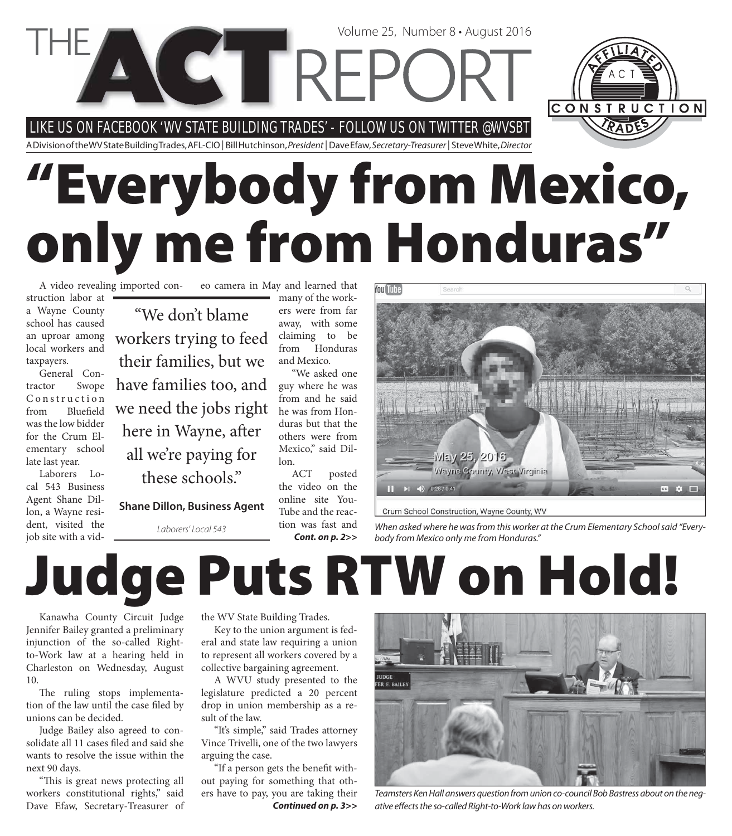LIKE US ON FACEBOOK 'WV STATE BUILDING TRADES' - FOLLOW US ON TWITTER @WVSBT

**CETTRE** 

A Division of the WV State Building Trades, AFL-CIO | Bill Hutchinson, President | Dave Efaw, Secretary-Treasurer | Steve White, Director

# **"Everybody from Mexico, only me from Honduras"**

Volume 25, Number 8 • August 2016

A video revealing imported con-

struction labor at a Wayne County school has caused an uproar among local workers and taxpayers.

General Contractor Swope Construction from Bluefield was the low bidder for the Crum Elementary school late last year.

Laborers Local 543 Business Agent Shane Dillon, a Wayne resident, visited the job site with a vid-

"We don't blame workers trying to feed their families, but we have families too, and we need the jobs right here in Wayne, after all we're paying for these schools."

**Shane Dillon, Business Agent**

eo camera in May and learned that many of the workers were from far away, with some claiming to be from Honduras and Mexico.

> "We asked one guy where he was from and he said he was from Honduras but that the others were from Mexico," said Dillon.

> ACT posted the video on the online site You-Tube and the reaction was fast and *Cont. on p. 2>>*



Crum School Construction, Wayne County, WV

Laborers' Local 543 **Exercises 18 Million Was fast and** When asked where he was from this worker at the Crum Elementary School said "Everybody from Mexico only me from Honduras."

## **Judge Puts RTW on Hold!**

Kanawha County Circuit Judge Jennifer Bailey granted a preliminary injunction of the so-called Rightto-Work law at a hearing held in Charleston on Wednesday, August 10.

The ruling stops implementation of the law until the case filed by unions can be decided.

Judge Bailey also agreed to consolidate all 11 cases filed and said she wants to resolve the issue within the next 90 days.

"This is great news protecting all workers constitutional rights," said Dave Efaw, Secretary-Treasurer of the WV State Building Trades.

Key to the union argument is federal and state law requiring a union to represent all workers covered by a collective bargaining agreement.

A WVU study presented to the legislature predicted a 20 percent drop in union membership as a result of the law.

"It's simple," said Trades attorney Vince Trivelli, one of the two lawyers arguing the case.

"If a person gets the benefit without paying for something that others have to pay, you are taking their *Continued on p. 3>>*



Teamsters Ken Hall answers question from union co-council Bob Bastress about on the negative effects the so-called Right-to-Work law has on workers.

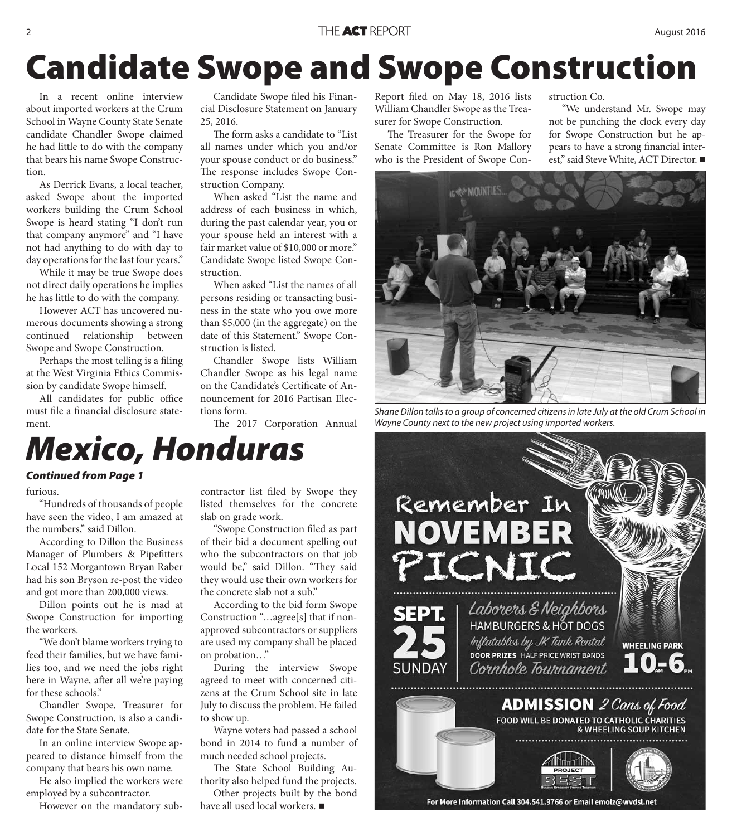### **Candidate Swope and Swope Construction**

In a recent online interview about imported workers at the Crum School in Wayne County State Senate candidate Chandler Swope claimed he had little to do with the company that bears his name Swope Construction.

As Derrick Evans, a local teacher, asked Swope about the imported workers building the Crum School Swope is heard stating "I don't run that company anymore" and "I have not had anything to do with day to day operations for the last four years."

While it may be true Swope does not direct daily operations he implies he has little to do with the company.

However ACT has uncovered numerous documents showing a strong continued relationship between Swope and Swope Construction.

Perhaps the most telling is a filing at the West Virginia Ethics Commission by candidate Swope himself.

All candidates for public office must file a financial disclosure statement.

Candidate Swope filed his Financial Disclosure Statement on January 25, 2016.

The form asks a candidate to "List all names under which you and/or your spouse conduct or do business." The response includes Swope Construction Company.

When asked "List the name and address of each business in which, during the past calendar year, you or your spouse held an interest with a fair market value of \$10,000 or more." Candidate Swope listed Swope Construction.

When asked "List the names of all persons residing or transacting business in the state who you owe more than \$5,000 (in the aggregate) on the date of this Statement." Swope Construction is listed.

Chandler Swope lists William Chandler Swope as his legal name on the Candidate's Certificate of Announcement for 2016 Partisan Elections form.

The 2017 Corporation Annual

#### Report filed on May 18, 2016 lists William Chandler Swope as the Treasurer for Swope Construction.

The Treasurer for the Swope for Senate Committee is Ron Mallory who is the President of Swope Construction Co.

"We understand Mr. Swope may not be punching the clock every day for Swope Construction but he appears to have a strong financial interest," said Steve White, ACT Director. ■



Shane Dillon talks to a group of concerned citizens in late July at the old Crum School in Wayne County next to the new project using imported workers.

### *Mexico, Honduras*

### *Continued from Page 1*

furious.

"Hundreds of thousands of people have seen the video, I am amazed at the numbers," said Dillon.

According to Dillon the Business Manager of Plumbers & Pipefitters Local 152 Morgantown Bryan Raber had his son Bryson re-post the video and got more than 200,000 views.

Dillon points out he is mad at Swope Construction for importing the workers.

"We don't blame workers trying to feed their families, but we have families too, and we need the jobs right here in Wayne, after all we're paying for these schools."

Chandler Swope, Treasurer for Swope Construction, is also a candidate for the State Senate.

In an online interview Swope appeared to distance himself from the company that bears his own name.

He also implied the workers were employed by a subcontractor.

However on the mandatory sub-

contractor list filed by Swope they listed themselves for the concrete slab on grade work.

"Swope Construction filed as part of their bid a document spelling out who the subcontractors on that job would be," said Dillon. "They said they would use their own workers for the concrete slab not a sub."

According to the bid form Swope Construction "…agree[s] that if nonapproved subcontractors or suppliers are used my company shall be placed on probation…"

During the interview Swope agreed to meet with concerned citizens at the Crum School site in late July to discuss the problem. He failed to show up.

Wayne voters had passed a school bond in 2014 to fund a number of much needed school projects.

The State School Building Authority also helped fund the projects.

Other projects built by the bond have all used local workers.



For More Information Call 304.541.9766 or Email emolz@wvdsl.net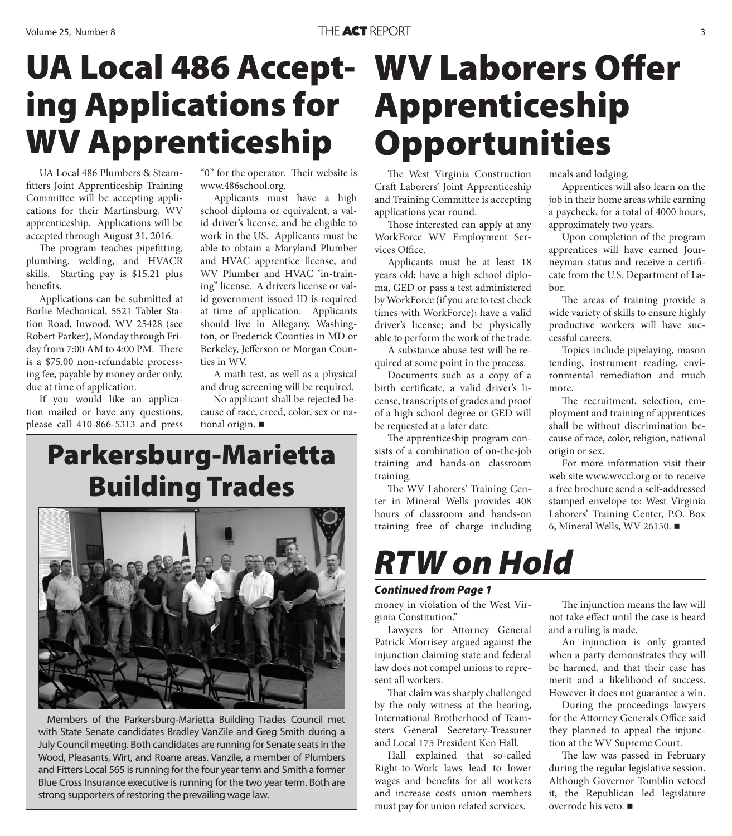### **UA Local 486 Accepting Applications for WV Apprenticeship**

#### UA Local 486 Plumbers & Steamfitters Joint Apprenticeship Training Committee will be accepting applications for their Martinsburg, WV apprenticeship. Applications will be accepted through August 31, 2016.

The program teaches pipefitting, plumbing, welding, and HVACR skills. Starting pay is \$15.21 plus benefits.

Applications can be submitted at Borlie Mechanical, 5521 Tabler Station Road, Inwood, WV 25428 (see Robert Parker), Monday through Friday from 7:00 AM to 4:00 PM. There is a \$75.00 non-refundable processing fee, payable by money order only, due at time of application.

If you would like an application mailed or have any questions, please call 410-866-5313 and press

"0" for the operator. Their website is www.486school.org.

Applicants must have a high school diploma or equivalent, a valid driver's license, and be eligible to work in the US. Applicants must be able to obtain a Maryland Plumber and HVAC apprentice license, and WV Plumber and HVAC 'in-training" license. A drivers license or valid government issued ID is required at time of application. Applicants should live in Allegany, Washington, or Frederick Counties in MD or Berkeley, Jefferson or Morgan Counties in WV.

A math test, as well as a physical and drug screening will be required.

No applicant shall be rejected because of race, creed, color, sex or national origin.

### **Parkersburg-Marietta Building Trades**



Members of the Parkersburg-Marietta Building Trades Council met with State Senate candidates Bradley VanZile and Greg Smith during a July Council meeting. Both candidates are running for Senate seats in the Wood, Pleasants, Wirt, and Roane areas. Vanzile, a member of Plumbers and Fitters Local 565 is running for the four year term and Smith a former Blue Cross Insurance executive is running for the two year term. Both are strong supporters of restoring the prevailing wage law.

### **WV Laborers Offer Apprenticeship Opportunities**

The West Virginia Construction Craft Laborers' Joint Apprenticeship and Training Committee is accepting applications year round.

Those interested can apply at any WorkForce WV Employment Services Office.

Applicants must be at least 18 years old; have a high school diploma, GED or pass a test administered by WorkForce (if you are to test check times with WorkForce); have a valid driver's license; and be physically able to perform the work of the trade.

A substance abuse test will be required at some point in the process.

Documents such as a copy of a birth certificate, a valid driver's license, transcripts of grades and proof of a high school degree or GED will be requested at a later date.

The apprenticeship program consists of a combination of on-the-job training and hands-on classroom training.

The WV Laborers' Training Center in Mineral Wells provides 408 hours of classroom and hands-on training free of charge including

### *RTW on Hold*

### *Continued from Page 1*

money in violation of the West Virginia Constitution."

Lawyers for Attorney General Patrick Morrisey argued against the injunction claiming state and federal law does not compel unions to represent all workers.

That claim was sharply challenged by the only witness at the hearing, International Brotherhood of Teamsters General Secretary-Treasurer and Local 175 President Ken Hall.

Hall explained that so-called Right-to-Work laws lead to lower wages and benefits for all workers and increase costs union members must pay for union related services.

meals and lodging.

Apprentices will also learn on the job in their home areas while earning a paycheck, for a total of 4000 hours, approximately two years.

Upon completion of the program apprentices will have earned Journeyman status and receive a certifi cate from the U.S. Department of Labor.

The areas of training provide a wide variety of skills to ensure highly productive workers will have successful careers.

Topics include pipelaying, mason tending, instrument reading, environmental remediation and much more.

The recruitment, selection, employment and training of apprentices shall be without discrimination because of race, color, religion, national origin or sex.

For more information visit their web site www.wvccl.org or to receive a free brochure send a self-addressed stamped envelope to: West Virginia Laborers' Training Center, P.O. Box 6, Mineral Wells, WV 26150.  $\blacksquare$ 

The injunction means the law will not take effect until the case is heard and a ruling is made.

An injunction is only granted when a party demonstrates they will be harmed, and that their case has merit and a likelihood of success. However it does not guarantee a win.

During the proceedings lawyers for the Attorney Generals Office said they planned to appeal the injunction at the WV Supreme Court.

The law was passed in February during the regular legislative session. Although Governor Tomblin vetoed it, the Republican led legislature overrode his veto.